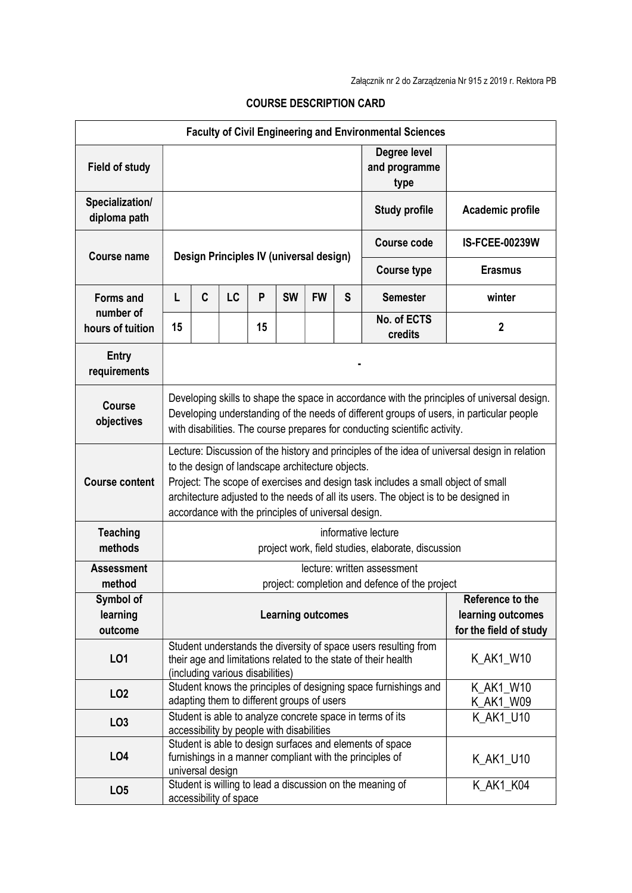| <b>Faculty of Civil Engineering and Environmental Sciences</b> |                                                                                                                                                                                                                                                                                                                                                                                      |   |                        |    |                          |           |                        |                                                           |                        |
|----------------------------------------------------------------|--------------------------------------------------------------------------------------------------------------------------------------------------------------------------------------------------------------------------------------------------------------------------------------------------------------------------------------------------------------------------------------|---|------------------------|----|--------------------------|-----------|------------------------|-----------------------------------------------------------|------------------------|
| <b>Field of study</b>                                          |                                                                                                                                                                                                                                                                                                                                                                                      |   |                        |    |                          |           |                        | Degree level<br>and programme<br>type                     |                        |
| Specialization/<br>diploma path                                |                                                                                                                                                                                                                                                                                                                                                                                      |   |                        |    |                          |           |                        | <b>Study profile</b>                                      | Academic profile       |
| Course name                                                    | Design Principles IV (universal design)                                                                                                                                                                                                                                                                                                                                              |   |                        |    |                          |           |                        | <b>Course code</b>                                        | <b>IS-FCEE-00239W</b>  |
|                                                                |                                                                                                                                                                                                                                                                                                                                                                                      |   |                        |    |                          |           |                        | <b>Course type</b>                                        | <b>Erasmus</b>         |
| <b>Forms and</b>                                               | L                                                                                                                                                                                                                                                                                                                                                                                    | C | LC                     | P  | <b>SW</b>                | <b>FW</b> | S                      | <b>Semester</b>                                           | winter                 |
| number of<br>hours of tuition                                  | 15                                                                                                                                                                                                                                                                                                                                                                                   |   |                        | 15 |                          |           |                        | No. of ECTS<br>credits                                    | $\boldsymbol{2}$       |
| <b>Entry</b><br>requirements                                   |                                                                                                                                                                                                                                                                                                                                                                                      |   |                        |    |                          |           |                        |                                                           |                        |
| <b>Course</b><br>objectives                                    | Developing skills to shape the space in accordance with the principles of universal design.<br>Developing understanding of the needs of different groups of users, in particular people<br>with disabilities. The course prepares for conducting scientific activity.                                                                                                                |   |                        |    |                          |           |                        |                                                           |                        |
| <b>Course content</b>                                          | Lecture: Discussion of the history and principles of the idea of universal design in relation<br>to the design of landscape architecture objects.<br>Project: The scope of exercises and design task includes a small object of small<br>architecture adjusted to the needs of all its users. The object is to be designed in<br>accordance with the principles of universal design. |   |                        |    |                          |           |                        |                                                           |                        |
| <b>Teaching</b><br>methods                                     | informative lecture<br>project work, field studies, elaborate, discussion                                                                                                                                                                                                                                                                                                            |   |                        |    |                          |           |                        |                                                           |                        |
| <b>Assessment</b>                                              | lecture: written assessment<br>project: completion and defence of the project                                                                                                                                                                                                                                                                                                        |   |                        |    |                          |           |                        |                                                           |                        |
| method<br>Symbol of                                            |                                                                                                                                                                                                                                                                                                                                                                                      |   |                        |    |                          |           |                        |                                                           | Reference to the       |
| learning                                                       |                                                                                                                                                                                                                                                                                                                                                                                      |   |                        |    | <b>Learning outcomes</b> |           |                        |                                                           | learning outcomes      |
| outcome                                                        |                                                                                                                                                                                                                                                                                                                                                                                      |   |                        |    |                          |           |                        |                                                           | for the field of study |
| LO1                                                            | Student understands the diversity of space users resulting from<br>K_AK1_W10<br>their age and limitations related to the state of their health<br>(including various disabilities)                                                                                                                                                                                                   |   |                        |    |                          |           |                        |                                                           |                        |
| LO <sub>2</sub>                                                | Student knows the principles of designing space furnishings and<br>adapting them to different groups of users                                                                                                                                                                                                                                                                        |   |                        |    |                          |           | K_AK1_W10<br>K_AK1_W09 |                                                           |                        |
| LO <sub>3</sub>                                                |                                                                                                                                                                                                                                                                                                                                                                                      |   |                        |    |                          |           |                        | Student is able to analyze concrete space in terms of its | K AK1 U10              |
| LO <sub>4</sub>                                                | accessibility by people with disabilities<br>Student is able to design surfaces and elements of space<br>furnishings in a manner compliant with the principles of<br>K_AK1_U10<br>universal design                                                                                                                                                                                   |   |                        |    |                          |           |                        |                                                           |                        |
| LO <sub>5</sub>                                                |                                                                                                                                                                                                                                                                                                                                                                                      |   | accessibility of space |    |                          |           |                        | Student is willing to lead a discussion on the meaning of | K_AK1_K04              |

## COURSE DESCRIPTION CARD